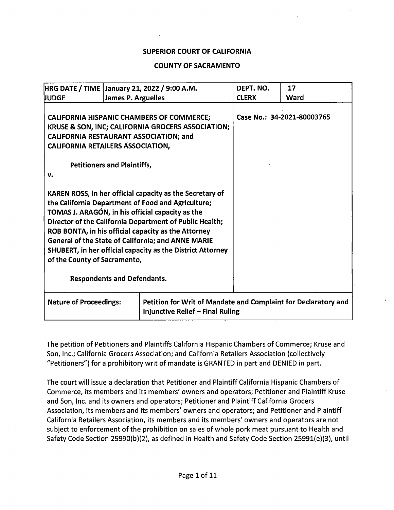### SUPERIOR COURT OF CALIFORNIA

### COUNTY OF SACRAMENTO

| HRG DATE / TIME   January 21, 2022 / 9:00 A.M.                                                                                                                                                                                                                                                                                                                                                                                                                                        |                           |                                                                                                           | DEPT. NO.    | 17                         |
|---------------------------------------------------------------------------------------------------------------------------------------------------------------------------------------------------------------------------------------------------------------------------------------------------------------------------------------------------------------------------------------------------------------------------------------------------------------------------------------|---------------------------|-----------------------------------------------------------------------------------------------------------|--------------|----------------------------|
| <b>JUDGE</b>                                                                                                                                                                                                                                                                                                                                                                                                                                                                          | <b>James P. Arguelles</b> |                                                                                                           | <b>CLERK</b> | Ward                       |
| <b>CALIFORNIA HISPANIC CHAMBERS OF COMMERCE:</b><br>KRUSE & SON, INC; CALIFORNIA GROCERS ASSOCIATION;<br><b>CALIFORNIA RESTAURANT ASSOCIATION; and</b><br><b>CALIFORNIA RETAILERS ASSOCIATION,</b><br><b>Petitioners and Plaintiffs,</b><br>v.                                                                                                                                                                                                                                        |                           |                                                                                                           |              | Case No.: 34-2021-80003765 |
| KAREN ROSS, in her official capacity as the Secretary of<br>the California Department of Food and Agriculture;<br>TOMAS J. ARAGÓN, in his official capacity as the<br>Director of the California Department of Public Health;<br>ROB BONTA, in his official capacity as the Attorney<br><b>General of the State of California; and ANNE MARIE</b><br>SHUBERT, in her official capacity as the District Attorney<br>of the County of Sacramento,<br><b>Respondents and Defendants.</b> |                           |                                                                                                           |              |                            |
|                                                                                                                                                                                                                                                                                                                                                                                                                                                                                       |                           |                                                                                                           |              |                            |
| <b>Nature of Proceedings:</b>                                                                                                                                                                                                                                                                                                                                                                                                                                                         |                           | Petition for Writ of Mandate and Complaint for Declaratory and<br><b>Injunctive Relief - Final Ruling</b> |              |                            |

The petition of Petitioners and Plaintiffs California Hispanic Chambers of Commerce; Kruse and Son, Inc.; California Grocers Association; and California Retailers Association (collectively "Petitioners") for a prohibitory writ of mandate is GRANTED in part and DENIED in part.

The court will issue a declaration that Petitioner and Plaintiff California Hispanic Chambers of Commerce, its members and its members' owners and operators; Petitioner and Plaintiff Kruse and Son, Inc. and its owners and operators; Petitioner and Plaintiff California Grocers Association, its members and its members' owners and operators; and Petitioner and Plaintiff California Retailers Association, its members and its members' owners and operators are not subject to enforcement of the prohibition on sales of whole pork meat pursuant to Health and Safety Code Section 25990(b)(2), as defined in Health and Safety Code Section 25991(e)(3), until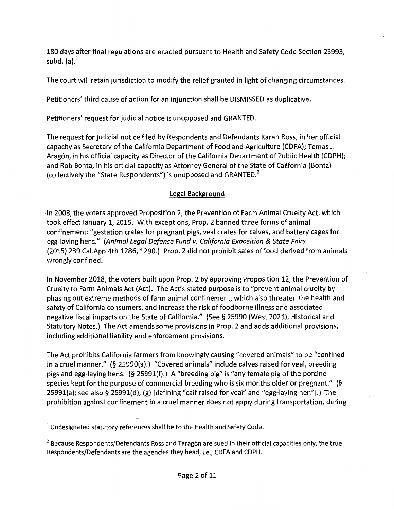180 days after final regulations are enacted pursuant to Health and Safety Code Section 25993, subd.  $(a)$ . $<sup>1</sup>$ </sup>

The court will retain jurisdiction to modify the relief granted in light of changing circumstances.

Petitioners' third cause of action for an injunction shall be DISMISSED as duplicative.

Petitioners' request for judicial notice is unopposed and GRANTED.

The request for judicial notice filed by Respondents and Defendants Karen Ross, in her official capacity as Secretary of the California Department of Food and Agriculture (CDFA); Tomas J. Aragón, in his official capacity as Director of the California Department of Public Health (CDPH); and Rob Bonta, in his official capacity as Attorney General of the State of California (Bonta) (collectively the "State Respondents") is unopposed and GRANTED. $<sup>2</sup>$ </sup>

# Legal Background

·In 2008, the voters approved Proposition 2, the Prevention of Farm Animal Cruelty Act, which took effect January 1, 2015. With exceptions, Prop. 2 banned three forms of animal confinement: "gestation crates for pregnant pigs, veal crates for calves, and battery cages for egg-laying hens." (Animal Legal Defense Fund v. California Exposition & State Fairs (2015) 239 Cai.App.4th 1286, 1290.) Prop. 2 did not prohibit sales of food derived from animals wrongly confined.

In November 2018, the voters built upon Prop. 2 by approving Proposition 12, the Prevention of Cruelty to Farm Animals Act (Act). The Act's stated purpose is to "prevent animal cruelty by phasing out extreme methods of farm animal confinement, which also threaten the health and safety of California consumers, and increase the risk of foodborne illness and associated negative fiscal impacts on the State of California." (See § 25990 (West 2021), Historical and Statutory Notes.) The Act amends some provisions in Prop. 2 and adds additional provisions, including additional liability and enforcement provisions.

The Act prohibits California farmers from knowingly causing "covered animals" to be "confined in a cruel manner." (§ 25990(a).) "Covered animals" include calves raised for veal, breeding pigs and egg-laying hens. (§ 25991(f).) A "breeding pig" is "any female pig of the porcine species kept for the purpose of commercial breeding who is six months older or pregnant." (§ 25991(a); see also§ 25991(d), (g) [defining "calf raised for veal" and "egg-laying hen"].) The prohibition against confinement in a cruel manner does not apply during transportation, during

 $<sup>1</sup>$  Undesignated statutory references shall be to the Health and Safety Code.</sup>

 $<sup>2</sup>$  Because Respondents/Defendants Ross and Taragón are sued in their official capacities only, the true</sup> Respondents/Defendants are the agencies they head, i.e., CDFA and CDPH.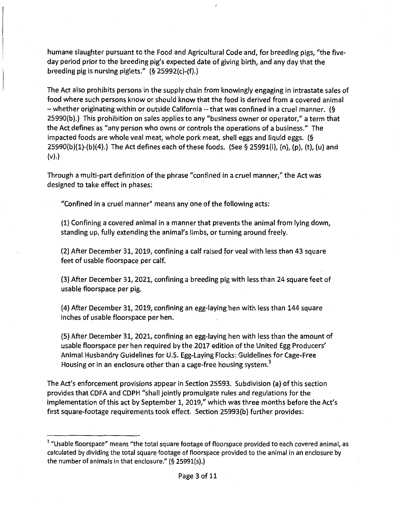humane slaughter pursuant to the Food and Agricultural Code and, for breeding pigs, "the fiveday period prior to the breeding pig's expected date of giving birth, and any day that the breeding pig is nursing piglets." (§ 25992(c)-(f).)

The Act also prohibits persons in the supply chain from knowingly engaging in intrastate sales of food where such persons know or should know that the food is derived from a covered animal -whether originating within or outside California-- that was confined in a cruel manner. (§ 25990(b).) This prohibition on sales applies to any "business owner or operator," a term that the Act defines as "any person who owns or controls the operations of a business." The impacted foods are whole veal meat, whole pork meat, shell eggs and liquid eggs. (§ 25990(b)(1)-(b)(4).) The Act defines each of these foods. (See§ 25991(1), (n), (p), (t), (u) and (v).)

Through a multi-part definition of the phrase "confined in a cruel manner," the Act was designed to take effect in phases:

"Confined in a cruel manner" means any one of the following acts:

(1) Confining a covered animal in a manner that prevents the animal from lying down, standing up, fully extending the animal's limbs, or turning around freely.

(2) After December 31, 2019, confining a calf raised for veal with less than 43 square feet of usable floorspace per calf.

(3) After December 31, 2021, confining a breeding pig with less than 24 square feet of usable floorspace per pig.

(4) After December 31, 2019, confining an egg-laying hen with less than 144 square inches of usable floorspace per hen.

(5) After December 31, 2021, confining an egg-laying hen with less than the amount of usable floorspace per hen required by the 2017 edition of the United Egg Producers' Animal Husbandry Guidelines for U.S. Egg-Laying Flocks: Guidelines for Cage-Free Housing or in an enclosure other than a cage-free housing system.<sup>3</sup>

The Act's enforcement provisions appear in Section 25593. Subdivision (a) of this section provides that CDFA and CDPH "shall jointly promulgate rules and regulations for the implementation of this act by September 1, 2019," which was three months before the Act's first square-footage requirements took effect. Section 25993(b) further provides:

<sup>&</sup>lt;sup>3</sup> "Usable floorspace" means "the total square footage of floorspace provided to each covered animal, as calculated by dividing the total square footage of floorspace provided to the animal in an enclosure by the number of animals in that enclosure."  $(§ 25991(s).)$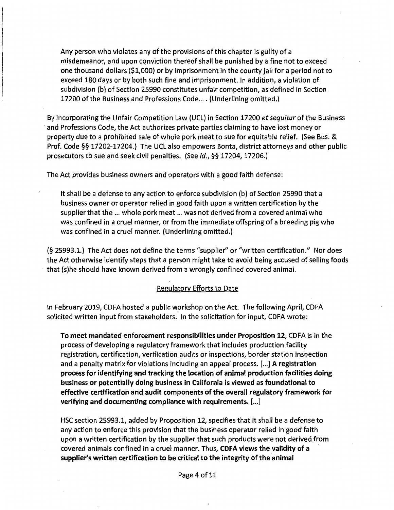Any person who violates any ofthe provisions of this chapter is guilty of a misdemeanor, and upon conviction thereof shall be punished by a fine not to exceed one thousand dollars (\$1,000) or by imprisonment in the county jail for a period not to exceed 180 days or by both such fine and imprisonment. In addition, a violation of subdivision (b) of Section 25990 constitutes unfair competition, as defined in Section 17200 of the Business and Professions Code... . (Underlining omitted.)

By incorporating the Unfair Competition Law (UCL) in Section 17200 *et sequitur* of the Business · and Professions Code, the Act authorizes private parties claiming to have lost money or property due to a prohibited sale of whole pork meat to sue for equitable relief. (See Bus. & Prof. Code§§ 17202-17204.) The UCL also empowers Bonta, district attorneys and other public prosecutors to sue and seek civil penalties. (See id., §§ 17204, 17206.)

The Act provides business owners and operators with a good faith defense:

It shall be a defense to any action to enforce subdivision (b) of Section 25990 that a business owner or operator relied in good faith upon a written certification by the supplier that the ... whole pork meat ... was not derived from a covered animal who was confined in a cruel manner, or from the immediate offspring of a breeding pig who was confined in a cruel manner. (Underlining omitted.)

(§ 25993.1.) The Act does not define the terms "supplier'' or "written certification." Nor does the Act otherwise identify steps that a person might take to avoid being accused of selling foods that (s)he should have known derived from a wrongly confined covered animal.

## Regulatory Efforts to Date

In February 2019, CDFA hosted a public workshop on the Act. The following April, CDFA solicited written input from stakeholders. In the solicitation for input, CDFA wrote:

To meet mandated enforcement responsibilities under Proposition 12, CDFA is in the process of developing a regulatory framework that includes production facility registration, certification, verification audits or inspections, border station inspection and a penalty matrix for violations including an appeal process. [...] A registration process for identifying and tracking the location of animal production facilities doing business or potentially doing business in California is viewed as foundational to effective certification and audit components of the overall regulatory framework for verifying and documenting compliance with requirements. [ ... ]

HSC section 25993.1, added by Proposition 12, specifies that it shall be a defense to any action to enforce this provision that the business operator relied in good faith upon a written certification by the supplier that such products were not derived from covered animals confined in a cruel manner. Thus, CDFA views the validity of a supplier's written certification to be critical to the integrity of the animal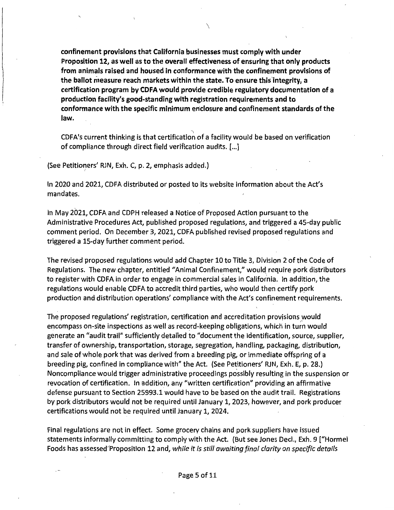confinement provisions that California businesses must comply with under Proposition 12, as well as to the overall effectiveness of ensuring that only products from animals raised and housed in conformance with the confinement provisions of the ballot measure reach markets within the state. To ensure this 'integrity, a certification program by CDFA would provide credible regulatory documentation of a production facility's good-standing with registration requirements and to conformance with the specific minimum enclosure and confinement standards of the law.

 $\overline{\phantom{a}^{\prime}}$ 

' CDFA's current thinking is that certification of a facility would be based on verification of compliance through direct field verification audits. [ ... ]

(See Petitioners' RJN, Exh. C, p. 2, emphasis added.) I

In 2020 and 2021, CDFA distributed or posted to its website information about the Act's mandates.

In May 2021, CDFA and CDPH released a Notice of Proposed Action pursuant to the Administrative Procedures Act, published proposed regulations, and triggered a 45-day public comment period. On December 3, 2021, CDFA published revised proposed regulations and triggered a 15-day further comment period.

The revised proposed regulations would add Chapter 10 to Title 3, Division 2 of the Code of Regulations. The new chapter, entitled "Animal Confinement," would, require pork distributors to register with CDFA in order to engage in commercial sales in California. In addition, the regulations would enable CDFA to accredit third parties, who would then certify pprk production and distribution operations' compliance with the Act's confinement requirements.

The proposed regulations' registration, certification and accreditation provisions would , *<sup>r</sup>* encompass on-site inspections as well as record-keeping obligations, which in turn would generate an "audit trail" sufficiently detailed to "document the identification, source, supplier, transfer of ownership, transportation, storage, segregation, handling, packaging, distribution, and sale of whole pork that was derived from a breeding pig, or immediate offspring of a breeding pig, confined in compliance with" the Act. (See Petitioners' RJN, Exh. E, p. 28.) Noncompliance would trigger administrative proceedings possibly resulting in the suspension or revocation of certification. In addition, any "written certification" providing an affirmative defense pursuant to Section 25993.1 would have to be based on the audit trail. Registrations by pork distributors would not be required until January 1, 2023, however, and pork producer certifications would not be required until January 1, 2024.

Final regulations are not in effect. Some grocery chains and pork suppliers have issued statements informally committing to comply with the Act. (But see Jones Decl., Exh. 9 ["Hormel Foods has assessed"Proposition 12 and, *while it is still awaiting final clarity on specific details*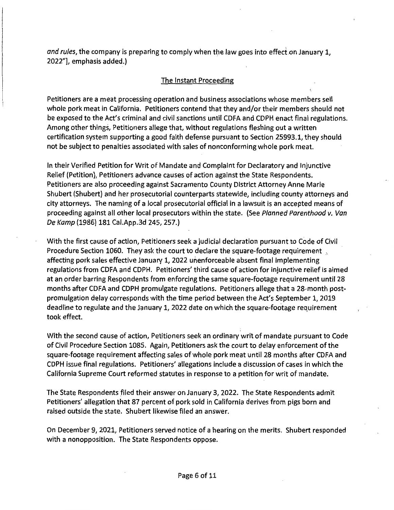and rules, the company is preparing to comply when the law goes into effect on January 1, 2022"], emphasis added.)

## The Instant Proceeding

Petitioners are a meat processing operation and business associations whose members sell whole pork meat in California. Petitioners contend that they and/or their members should not be exposed to the Act's criminal and civil sanctions until CDFA and CDPH enact final regulations. Among other things, Petitioners allege that, without regulations fleshing out a written certification system supporting a good faith defense pursuant to Section 25993.1, they should not be subject to penalties associated with sales of nonconforming whole pork meat.

In their Verified Petition for Writ of Mandate and Complaint for Declaratory and Injunctive Relief (Petition), Petitioners advance causes of action against the State Respondents. Petitioners are also proceeding against Sacramento County District Attorney Anne Marie Shubert (Shubert) and her prosecutorial counterparts statewide, including county attorneys and city attorneys. The naming of a local prosecutorial official in a lawsuit is an accepted means of proceeding against all other local prosecutors within the state. (See Planned Parenthood v. Van De Kamp (1986) 181 Cai.App.3d 245, 257.)

With the first cause of action, Petitioners seek a judicial declaration pursuant to Code of Civil Procedure Section 1060. They ask the court to declare the square-footage requirement affecting pork sales effective January 1, 2022 unenforceable absent final implementing regulations from CDFA and CDPH. Petitioners' third cause of action for injunctive relief is aimed at an order barring Respondents from enforcing the same square-footage requirement until 28 months after CDFA and CDPH promulgate regulations. Petitioners allege that a 28-month postpromulgation delay corresponds with the time period between the Act's September 1, 2019 deadline to regulate and the January 1, 2022 date on which the square-footage requirement took effect.

With the second cause of action, Petitioners seek an ordinary writ of mandate pursuant to Code of Civil Procedure Section 1085. Again, Petitioners ask the court to delay enforcement of the square-footage requirement affecting sales of whole pork meat until 28 months after CDFA and CDPH issue final regulations. Petitioners' allegations include a discussion of cases in which the California Supreme Court reformed statutes in response to a petition for writ of mandate.

The State Respondents filed their answer on January 3, 2022. The State Respondents admit Petitioners' allegation that 87 percent of pork sold in California derives from pigs born and raised outside the state. Shubert likewise filed an answer.

On December 9, 2021, Petitioners served notice of a hearing on the merits. Shubert responded with a nonopposition. The State Respondents oppose.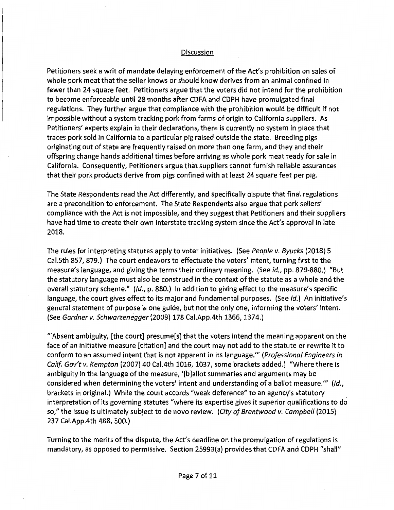#### Discussion

Petitioners seek a writ of mandate delaying enforcement of the Act's prohibition on sales of whole pork meat that the seller knows or should know derives from an animal confined in fewer than 24 square feet. Petitioners argue that the voters did not intend for the prohibition to become enforceable until 28 months after CDFA and CDPH have promulgated final regulations. They further argue that compliance with the prohibition would be difficult if not impossible without a system tracking pork from farms of origin to California suppliers. As Petitioners' experts explain in their declarations, there is currently no system in place that traces pork sold in California to a particular pig raised outside the state. Breeding pigs originating out of state are frequently raised on more than one farm, and they and their offspring change hands additional times before arriving as whole pork meat ready for sale in California. Consequently, Petitioners argue that suppliers cannot furnish reliable assurances that their pork products derive from pigs confined with at least 24 square feet per pig.

The State Respondents read the Act differently, and specifically dispute that final regulations are a precondition to enforcement. The State Respondents also argue that pork sellers' compliance with the Act is not impossible, and they suggest that Petitioners and their suppliers have had time to create their own interstate tracking system since the Act's approval in late 2018.

The rules for interpreting statutes apply to voter initiatives. (See People v. Byucks (2018) 5 Cal.5th 857, 879.) The court endeavors to effectuate the voters' intent, turning first to the measure's language, and giving the terms their ordinary meaning. (See id., pp. 879-880.) "But the statutory language must also be construed in the context of the statute as a whole and the overall statutory scheme." (Id., p. 880.) In addition to giving effect to the measure's specific language, the court gives effect to its major and fundamental purposes. (See id.) An initiative's general statement of purpose is one guide, but not the only one, informing the voters' intent. (See Gardner v. Schwarzenegger (2009) 178 Cai.App.4th 1366, 1374.)

"Absent ambiguity, [the court] presume[s] that the voters intend the meaning apparent on the face of an initiative measure [citation] and the court may not add to the statute or rewrite it to conform to an assumed intent that is not apparent in its language."' (Professional Engineers in Calif. Gov't v. Kempton (2007) 40 Cal.4th 1016, 1037, some brackets added.) "Where there is ambiguity in the language of the measure, '[b]allot summaries and arguments may be considered when determining the voters' intent and understanding of a ballot measure." (Id., brackets in original.) While the court accords "weak deference" to an agency's statutory interpretation of its governing statutes "where its expertise gives it superior qualifications to do so," the issue is ultimately subject to de novo review. (City of Brentwood v. Campbell (2015) 237 Cai.App.4th 488, 500.)

Turning to the merits of the dispute, the Act's deadline on the promulgation of regulations is mandatory, as opposed to permissive. Section 25993(a) provides that CDFA and CDPH "shall"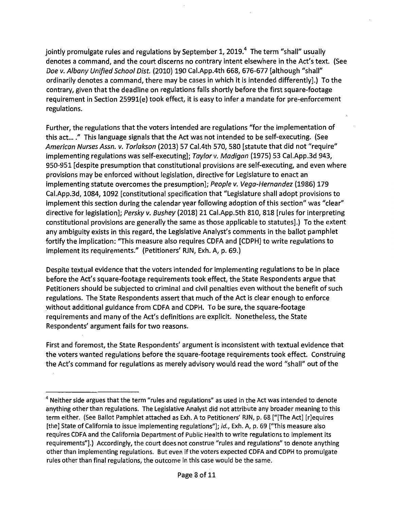jointly promulgate rules and regulations by September 1, 2019. $4$  The term "shall" usually denotes a command, and the court discerns no contrary intent elsewhere in the Act's text. (See Doe v. Albany Unified School Dist. (2010) 190 Cai.App.4th 668, 676-677 [although "shall" ordinarily denotes a command, there may be cases in which it is intended differently].) To the contrary, given that the deadline on regulations falls shortly before the first square-footage requirement in Section 25991(e) took effect, it is easy to infer a mandate for pre-enforcement regulations.

Further, the regulations that the voters intended are regulations "for the implementation of this act...." This language signals that the Act was not intended to be self-executing. (See American Nurses Assn. v. Torlakson (2013) 57 Cal.4th 570, 580 [statute that did not "require" implementing regulations was self-executing]; Taylor v. Madigan (1975) 53 Cal.App.3d 943, 950-951 [despite presumption that constitutional provisions are self-executing, and even where provisions may be enforced without legislation, directive for Legislature to enact an implementing statute overcomes the presumption]; People v. Vega-Hernandez (1986) 179 Cai.App.3d, 1084, 1092 [constitutional specification that "Legislature shall adopt provisions to implement this section during the calendar year following adoption of this section" was "clear" directive for legislation]; Persky v. Bushey (2018) 21 Cai.App.5th 810, 818 [rules for interpreting constitutional provisions are generally the same as those applicable to statutes].) To the extent any ambiguity exists in this regard, the Legislative Analyst's comments in the ballot pamphlet fortify the implication: "This measure also requires CDFA and [CDPH] to write regulations to implement its requirements." (Petitioners' RJN, Exh. A, p. 69.)

Despite textual evidence that the voters intended for implementing regulations to be in place before the Act's square-footage requirements took effect, the State Respondents argue that Petitioners should be subjected to criminal and civil penalties even without the benefit of such regulations. The State Respondents assert that much of the Act is clear enough to enforce without additional guidance from CDFA and CDPH. To be sure, the square-footage requirements and many of the Act's definitions are explicit. Nonetheless, the State Respondents' argument fails for two reasons.

First and foremost, the State Respondents' argument is inconsistent with textual evidence that the voters wanted regulations before the square-footage requirements took effect. Construing the Act's command for regulations as merely advisory would read the word "shall" out of the

 $4$  Neither side argues that the term "rules and regulations" as used in the Act was intended to denote anything other than regulations. The Legislative Analyst did not attribute any broader meaning to this term either. (See Ballot Pamphlet attached as Exh. A to Petitioners' RJN, p. 68 ["[The Act] [r]equires [the] State of California to issue implementing regulations"]; id., Exh. A, p. 69 ["This measure also requires CDFA and the California Department of Public Health to write regulations to implement its requirements"].) Accordingly, the court does not construe "rules and regulations" to denote anything other than implementing regulations. But even if the voters expected CDFA and CDPH to promulgate rules other than final regulations, the outcome in this case would be the same.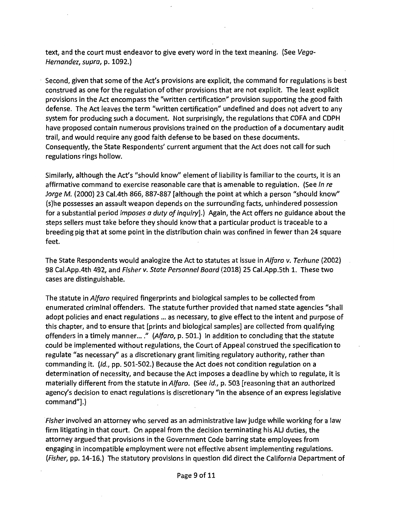text, and the court must endeavor to give every word in the text meaning. (See Vega-Hernandez, supra, p. 1092.)

Second, given that some of the Act's provisions are explicit, the command for regulations is best construed as one for the regulation of other provisions that are not explicit. The least explicit provisions in the Act encompass the "written certification" provision supporting the good faith defense. The Act leaves the term "written certification" undefined and does not advert to any system for producing such a document. Not surprisingly, the regulations that CDFA and CDPH have proposed contain numerous provisions trained on the production of a documentary audit trail, and would require any good faith defense to be based on these documents. Consequently, the State Respondents' current argument that the Act does not call for such regulations rings hollow.

Similarly, although the Act's "should know" element of liability is familiar to the courts, it is an affirmative command to exercise reasonable care that is amenable to regulation. (See In re Jorge M. (2000) 23 Cal.4th 866, 887-887 [although the point at which a person "should know" (s)he possesses an assault weapon depends on the surrounding facts, unhindered possession for a substantial period *imposes a duty of inquiry*].) Again, the Act offers no guidance about the steps sellers must take before they should know that a particular product is traceable to a breeding pig that at some point in the distribution chain was confined in fewer than 24 square feet.

The State Respondents would analogize the Act to statutes at issue in Alfaro v. Terhune (2002) 98 Cai.App.4th 492, and Fisher v. State Personnel Board (2018) 25 Cai.App.Sth 1. These two cases are distinguishable.

The statute in *Alfaro* required fingerprints and biological samples to be collected from enumerated criminal offenders. The statute further provided that named state agencies "shall adopt policies and enact regulations ... as necessary, to give effect to the intent and purpose of this chapter, and to ensure that [prints and biological samples] are collected from qualifying offenders in a timely manner...." (Alfaro, p. 501.) In addition to concluding that the statute could be implemented without regulations, the Court of Appeal construed the specification to regulate "as necessary" as a discretionary grant limiting regulatory authority, rather than commanding it. (/d., pp. 501-502.) Because the Act does not condition regulation on a determination of necessity, and because the Act imposes a deadline by which to regulate, it is materially different from the statute in Alfaro. (See id., p. 503 [reasoning that an authorized agency's decision to enact regulations is discretionary "in the absence of an express legislative command"].)

Fisher involved an attorney who served as an administrative law judge while working for a law firm litigating in that court. On appeal from the decision terminating his AU duties, the attorney argued that provisions in the Government Code barring state employees from engaging in incompatible employment were not effective absent implementing regulations. (Fisher, pp. 14-16.) The statutory provisions in question did direct the California Department of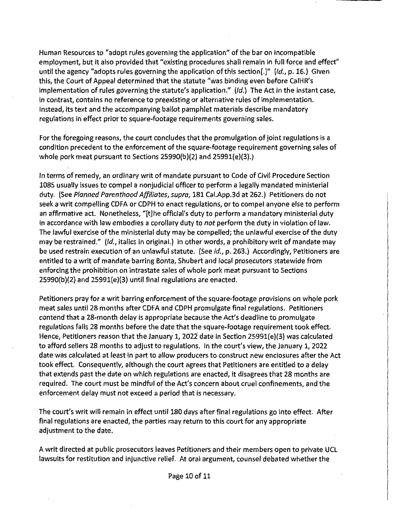Human Resources to "adopt rules governing the application" of the bar on incompatible employment, but it also provided that "existing procedures shall remain in full force and effect" until the agency "adopts rules governing the application of this section[.]" (Id., p. 16.) Given this, the Court of Appeal determined that the statute "was binding even before CaiHR's implementation of rules governing the statute's application."  $(id.)$  The Act in the instant case, in contrast, contains no reference to preexisting or alternative rules of implementation. Instead, its text and the accompanying ballot pamphlet materials describe mandatory regulations in effect prior to square-footage requirements governing sales.

For the foregoing reasons, the court concludes that the promulgation of joint regulations is a condition precedent to the enforcement of the square-footage requirement governing sales of whole pork meat pursuant to Sections 25990(b)(2) and 25991{e)(3).)

In terms of remedy, an ordinary writ of mandate pursuant to Code of Civil Procedure Section 1085 usually issues to compel a nonjudicial officer to perform a legally mandated ministerial duty. (See *Planned Parenthood Affiliates, supra,* 181 Cai.App.3d at 262.) Petitioners do not seek a writ compelling CDFA or CDPH to enact regulations, or to compel anyone else to perform an affirmative act. Nonetheless, "[t]he official's duty to perform a mandatory ministerial duty in accordance with law embodies a corollary duty to *not* perform the duty in violation of law. The lawful exercise of the ministerial duty may be compelled; the unlawful exercise of the duty may be restrained." (Id., italics in original.) In other words, a prohibitory writ of mandate may be used restrain execution of an unlawful statute. (See *id.,* p. 263.) Accordingly, Petitioners are entitled to a writ of mandate barring Bonta, Shubert and local prosecutors statewide from enforcing the prohibition on intrastate sales of whole pork meat pursuant to Sections 25990(b)(2) and 25991(e)(3) until final regulations are enacted.

Petitioners pray for a writ barring enforcement of the square-footage provisions on whole pork meat sales until 28 months after CDFA and CDPH promulgate final regulations. Petitioners contend that a 28-month delay is appropriate because the Act's deadline to promulgate regulations falls 28 months before the date that the square-footage requirement took effect. Hence, Petitioners reason that the January 1, 2022 date in Section 25991(e)(3) was calculated to afford sellers 28 months to adjust to regulations. In the court's view, the January 1, 2022 date was calculated at least in part to allow producers to construct new enclosures after the Act took effect. Consequently, although the court agrees that Petitioners are entitled to a delay that extends past the date on which regulations are enacted, it disagrees that 28 months are required. The court must be mindful of the Act's concern about cruel confinements, and the enforcement delay must not exceed a period that is necessary.

The court's writ will remain in effect until 180 days after final regulations go into effect. After final regulations are enacted, the parties may return to this court for any appropriate adjustment to the date.

A writ directed at public prosecutors leaves Petitioners and their members open to private UCL lawsuits for restitution and injunctive relief. At oral argument, counsel debated whether the